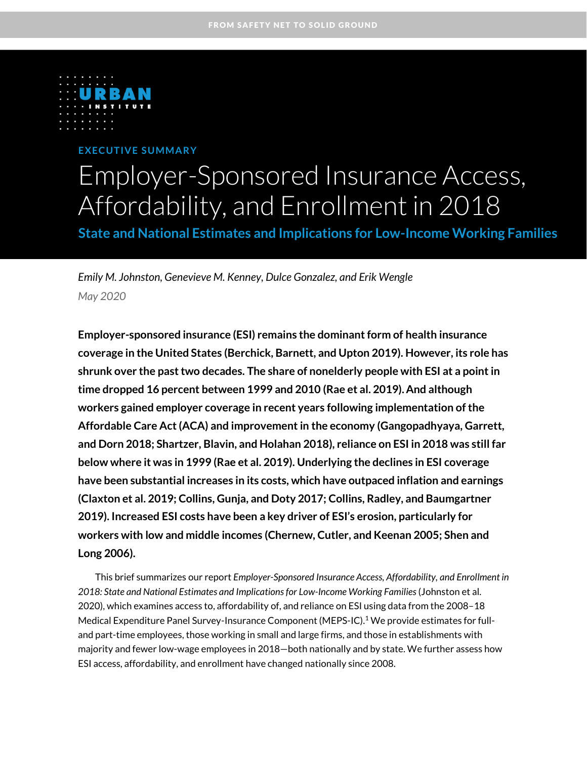

# **E XE C U T IVE S U MM A R Y** Employer-Sponsored Insurance Access, Affordability, and Enrollment in 2018

**State and National Estimates and Implications for Low-Income Working Families** 

*Emily M. Johnston, Genevieve M. Kenney, Dulce Gonzalez, and Erik Wengle May 2020*

**Employer-sponsored insurance (ESI) remains the dominant form of health insurance coverage in the United States (Berchick, Barnett, and Upton 2019). However, its role has shrunk over the past two decades. The share of nonelderly people with ESI at a point in time dropped 16 percent between 1999 and 2010 (Rae et al. 2019). And although workers gained employer coverage in recent years following implementation of the Affordable Care Act (ACA) and improvement in the economy (Gangopadhyaya, Garrett, and Dorn 2018; Shartzer, Blavin, and Holahan 2018), reliance on ESI in 2018 was still far below where it was in 1999 (Rae et al. 2019). Underlying the declines in ESI coverage have been substantial increases in its costs, which have outpaced inflation and earnings (Claxton et al. 2019; Collins, Gunja, and Doty 2017; Collins, Radley, and Baumgartner 2019). Increased ESI costs have been a key driver of ESI's erosion, particularly for workers with low and middle incomes (Chernew, Cutler, and Keenan 2005; Shen and Long 2006).**

This brief summarizes our report *Employer-Sponsored Insurance Access, Affordability, and Enrollment in 2018: State and National Estimates and Implicationsfor Low-Income Working Families* (Johnston et al. 2020), which examines access to, affordability of, and reliance on ESI using data from the 2008–18 Medical Expenditure Panel Survey-Insurance Component (MEPS-IC).<sup>1</sup> We provide estimates for fulland part-time employees, those working in small and large firms, and those in establishments with majority and fewer low-wage employees in 2018—both nationally and by state. We further assess how ESI access, affordability, and enrollment have changed nationally since 2008.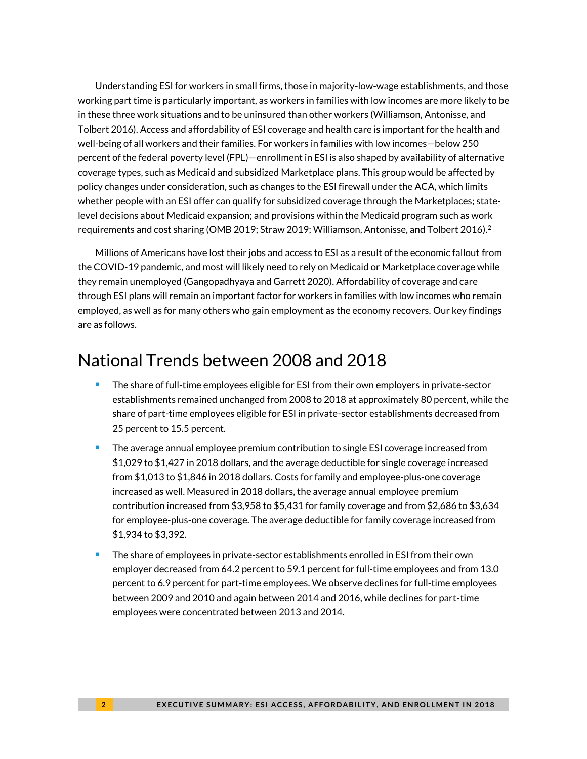Understanding ESI for workers in small firms, those in majority-low-wage establishments, and those working part time is particularly important, as workers in families with low incomes are more likely to be in these three work situations and to be uninsured than other workers (Williamson, Antonisse, and Tolbert 2016). Access and affordability of ESI coverage and health care is important for the health and well-being of all workers and their families. For workers in families with low incomes—below 250 percent of the federal poverty level (FPL)—enrollment in ESI is also shaped by availability of alternative coverage types, such as Medicaid and subsidized Marketplace plans. This group would be affected by policy changes under consideration, such as changes to the ESI firewall under the ACA, which limits whether people with an ESI offer can qualify for subsidized coverage through the Marketplaces; statelevel decisions about Medicaid expansion; and provisions within the Medicaid program such as work requirements and cost sharing (OMB 2019; Straw 2019; Williamson, Antonisse, and Tolbert 2016). $^2$ 

Millions of Americans have lost their jobs and access to ESI as a result of the economic fallout from the COVID-19 pandemic, and most will likely need to rely on Medicaid or Marketplace coverage while they remain unemployed (Gangopadhyaya and Garrett 2020). Affordability of coverage and care through ESI plans will remain an important factor for workers in families with low incomes who remain employed, as well as for many others who gain employment as the economy recovers. Our key findings are as follows.

## National Trends between 2008 and 2018

- The share of full-time employees eligible for ESI from their own employers in private-sector establishments remained unchanged from 2008 to 2018 at approximately 80 percent, while the share of part-time employees eligible for ESI in private-sector establishments decreased from 25 percent to 15.5 percent.
- <sup>◼</sup> The average annual employee premium contribution to single ESI coverage increased from \$1,029 to \$1,427 in 2018 dollars, and the average deductible for single coverage increased from \$1,013 to \$1,846 in 2018 dollars. Costs for family and employee-plus-one coverage increased as well. Measured in 2018 dollars, the average annual employee premium contribution increased from \$3,958 to \$5,431 for family coverage and from \$2,686 to \$3,634 for employee-plus-one coverage. The average deductible for family coverage increased from \$1,934 to \$3,392.
- The share of employees in private-sector establishments enrolled in ESI from their own employer decreased from 64.2 percent to 59.1 percent for full-time employees and from 13.0 percent to 6.9 percent for part-time employees. We observe declines for full-time employees between 2009 and 2010 and again between 2014 and 2016, while declines for part-time employees were concentrated between 2013 and 2014.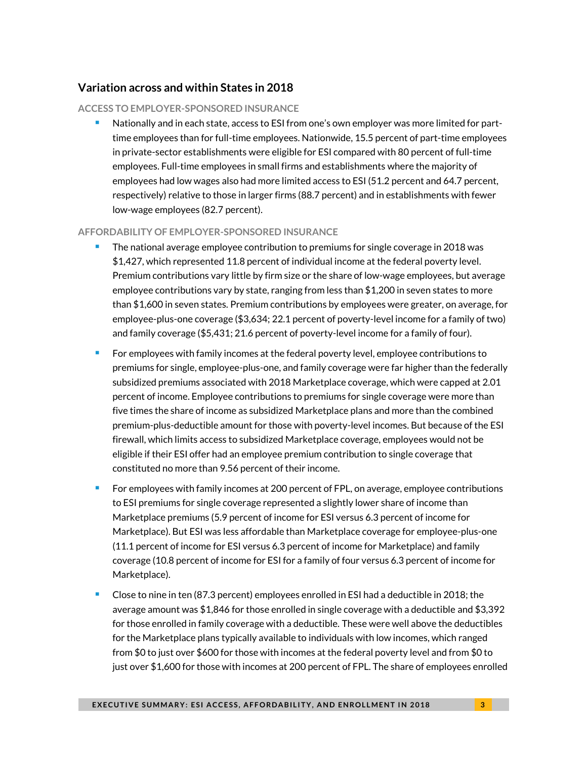### **Variation across and within States in 2018**

### **ACCESS TO EMPLOYER-SPONSORED INSURANCE**

Nationally and in each state, access to ESI from one's own employer was more limited for parttime employees than for full-time employees. Nationwide, 15.5 percent of part-time employees in private-sector establishments were eligible for ESI compared with 80 percent of full-time employees. Full-time employees in small firms and establishments where the majority of employees had low wages also had more limited access to ESI (51.2 percent and 64.7 percent, respectively) relative to those in larger firms (88.7 percent) and in establishments with fewer low-wage employees (82.7 percent).

### **AFFORDABILITY OF EMPLOYER-SPONSORED INSURANCE**

- The national average employee contribution to premiums for single coverage in 2018 was \$1,427, which represented 11.8 percent of individual income at the federal poverty level. Premium contributions vary little by firm size or the share of low-wage employees, but average employee contributions vary by state, ranging from less than \$1,200 in seven states to more than \$1,600 in seven states. Premium contributions by employees were greater, on average, for employee-plus-one coverage (\$3,634; 22.1 percent of poverty-level income for a family of two) and family coverage (\$5,431; 21.6 percent of poverty-level income for a family of four).
- <sup>◼</sup> For employees with family incomes at the federal poverty level, employee contributions to premiums for single, employee-plus-one, and family coverage were far higher than the federally subsidized premiums associated with 2018 Marketplace coverage, which were capped at 2.01 percent of income. Employee contributions to premiums for single coverage were more than five times the share of income as subsidized Marketplace plans and more than the combined premium-plus-deductible amount for those with poverty-level incomes. But because of the ESI firewall, which limits access to subsidized Marketplace coverage, employees would not be eligible if their ESI offer had an employee premium contribution to single coverage that constituted no more than 9.56 percent of their income.
- For employees with family incomes at 200 percent of FPL, on average, employee contributions to ESI premiums for single coverage represented a slightly lower share of income than Marketplace premiums (5.9 percent of income for ESI versus 6.3 percent of income for Marketplace). But ESI was less affordable than Marketplace coverage for employee-plus-one (11.1 percent of income for ESI versus 6.3 percent of income for Marketplace) and family coverage (10.8 percent of income for ESI for a family of four versus 6.3 percent of income for Marketplace).
- <sup>◼</sup> Close to nine in ten (87.3 percent) employees enrolled in ESI had a deductible in 2018; the average amount was \$1,846 for those enrolled in single coverage with a deductible and \$3,392 for those enrolled in family coverage with a deductible. These were well above the deductibles for the Marketplace plans typically available to individuals with low incomes, which ranged from \$0 to just over \$600 for those with incomes at the federal poverty level and from \$0 to just over \$1,600 for those with incomes at 200 percent of FPL. The share of employees enrolled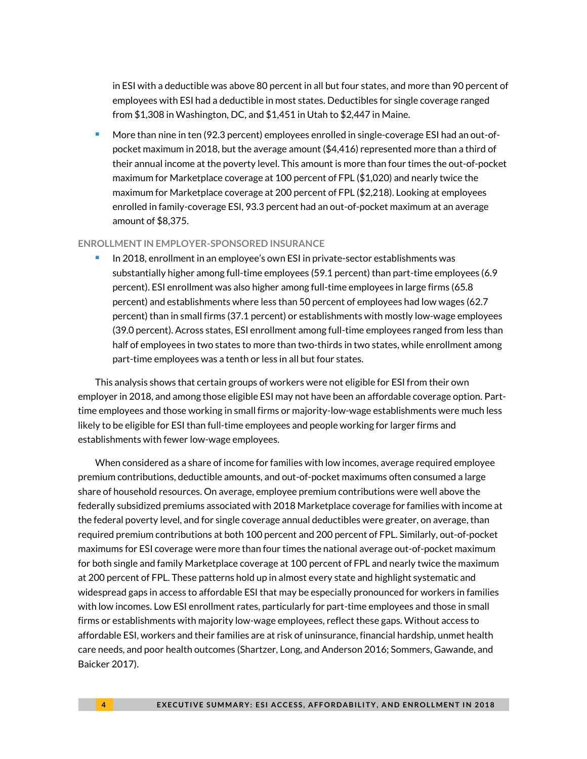in ESI with a deductible was above 80 percent in all but four states, and more than 90 percent of employees with ESI had a deductible in most states. Deductibles for single coverage ranged from \$1,308 in Washington, DC, and \$1,451 in Utah to \$2,447 in Maine.

More than nine in ten (92.3 percent) employees enrolled in single-coverage ESI had an out-ofpocket maximum in 2018, but the average amount (\$4,416) represented more than a third of their annual income at the poverty level. This amount is more than four times the out-of-pocket maximum for Marketplace coverage at 100 percent of FPL (\$1,020) and nearly twice the maximum for Marketplace coverage at 200 percent of FPL (\$2,218). Looking at employees enrolled in family-coverage ESI, 93.3 percent had an out-of-pocket maximum at an average amount of \$8,375.

#### **ENROLLMENT IN EMPLOYER-SPONSORED INSURANCE**

<sup>◼</sup> In 2018, enrollment in an employee's own ESI in private-sector establishments was substantially higher among full-time employees (59.1 percent) than part-time employees (6.9 percent). ESI enrollment was also higher among full-time employees in large firms (65.8 percent) and establishments where less than 50 percent of employees had low wages (62.7 percent) than in small firms (37.1 percent) or establishments with mostly low-wage employees (39.0 percent). Across states, ESI enrollment among full-time employees ranged from less than half of employees in two states to more than two-thirds in two states, while enrollment among part-time employees was a tenth or less in all but four states.

This analysis shows that certain groups of workers were not eligible for ESI from their own employer in 2018, and among those eligible ESI may not have been an affordable coverage option. Parttime employees and those working in small firms or majority-low-wage establishments were much less likely to be eligible for ESI than full-time employees and people working for larger firms and establishments with fewer low-wage employees.

When considered as a share of income for families with low incomes, average required employee premium contributions, deductible amounts, and out-of-pocket maximums often consumed a large share of household resources. On average, employee premium contributions were well above the federally subsidized premiums associated with 2018 Marketplace coverage for families with income at the federal poverty level, and for single coverage annual deductibles were greater, on average, than required premium contributions at both 100 percent and 200 percent of FPL. Similarly, out-of-pocket maximums for ESI coverage were more than four times the national average out-of-pocket maximum for both single and family Marketplace coverage at 100 percent of FPL and nearly twice the maximum at 200 percent of FPL. These patterns hold up in almost every state and highlight systematic and widespread gaps in access to affordable ESI that may be especially pronounced for workers in families with low incomes. Low ESI enrollment rates, particularly for part-time employees and those in small firms or establishments with majority low-wage employees, reflect these gaps. Without access to affordable ESI, workers and their families are at risk of uninsurance, financial hardship, unmet health care needs, and poor health outcomes (Shartzer, Long, and Anderson 2016; Sommers, Gawande, and Baicker 2017).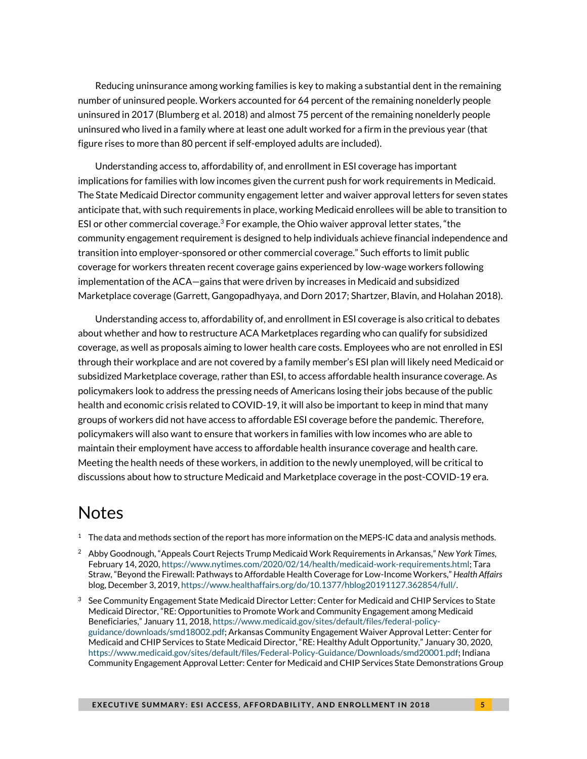Reducing uninsurance among working families is key to making a substantial dent in the remaining number of uninsured people. Workers accounted for 64 percent of the remaining nonelderly people uninsured in 2017 (Blumberg et al. 2018) and almost 75 percent of the remaining nonelderly people uninsured who lived in a family where at least one adult worked for a firm in the previous year (that figure rises to more than 80 percent if self-employed adults are included).

Understanding access to, affordability of, and enrollment in ESI coverage has important implications for families with low incomes given the current push for work requirements in Medicaid. The State Medicaid Director community engagement letter and waiver approval letters for seven states anticipate that, with such requirements in place, working Medicaid enrollees will be able to transition to ESI or other commercial coverage.<sup>3</sup> For example, the Ohio waiver approval letter states, "the community engagement requirement is designed to help individuals achieve financial independence and transition into employer-sponsored or other commercial coverage." Such efforts to limit public coverage for workers threaten recent coverage gains experienced by low-wage workers following implementation of the ACA—gains that were driven by increases in Medicaid and subsidized Marketplace coverage (Garrett, Gangopadhyaya, and Dorn 2017; Shartzer, Blavin, and Holahan 2018).

Understanding access to, affordability of, and enrollment in ESI coverage is also critical to debates about whether and how to restructure ACA Marketplaces regarding who can qualify for subsidized coverage, as well as proposals aiming to lower health care costs. Employees who are not enrolled in ESI through their workplace and are not covered by a family member's ESI plan will likely need Medicaid or subsidized Marketplace coverage, rather than ESI, to access affordable health insurance coverage. As policymakers look to address the pressing needs of Americans losing their jobs because of the public health and economic crisis related to COVID-19, it will also be important to keep in mind that many groups of workers did not have access to affordable ESI coverage before the pandemic. Therefore, policymakers will also want to ensure that workers in families with low incomes who are able to maintain their employment have access to affordable health insurance coverage and health care. Meeting the health needs of these workers, in addition to the newly unemployed, will be critical to discussions about how to structure Medicaid and Marketplace coverage in the post-COVID-19 era.

### **Notes**

- $1$  The data and methods section of the report has more information on the MEPS-IC data and analysis methods.
- <sup>2</sup> Abby Goodnough, "Appeals Court Rejects Trump Medicaid Work Requirements in Arkansas," *New York Times*, February 14, 2020[, https://www.nytimes.com/2020/02/14/health/medicaid-work-requirements.html;](https://www.nytimes.com/2020/02/14/health/medicaid-work-requirements.html) Tara Straw, "Beyond the Firewall: Pathways to Affordable Health Coverage for Low-Income Workers," *Health Affairs*  blog, December 3, 2019[, https://www.healthaffairs.org/do/10.1377/hblog20191127.362854/full/.](https://www.healthaffairs.org/do/10.1377/hblog20191127.362854/full/)
- <sup>3</sup> See Community Engagement State Medicaid Director Letter: Center for Medicaid and CHIP Services to State Medicaid Director, "RE: Opportunities to Promote Work and Community Engagement among Medicaid Beneficiaries," January 11, 2018, [https://www.medicaid.gov/sites/default/files/federal-policy](about:blank)[guidance/downloads/smd18002.pdf;](about:blank) Arkansas Community Engagement Waiver Approval Letter: Center for Medicaid and CHIP Services to State Medicaid Director, "RE: Healthy Adult Opportunity," January 30, 2020, [https://www.medicaid.gov/sites/default/files/Federal-Policy-Guidance/Downloads/smd20001.pdf;](about:blank) Indiana Community Engagement Approval Letter: Center for Medicaid and CHIP Services State Demonstrations Group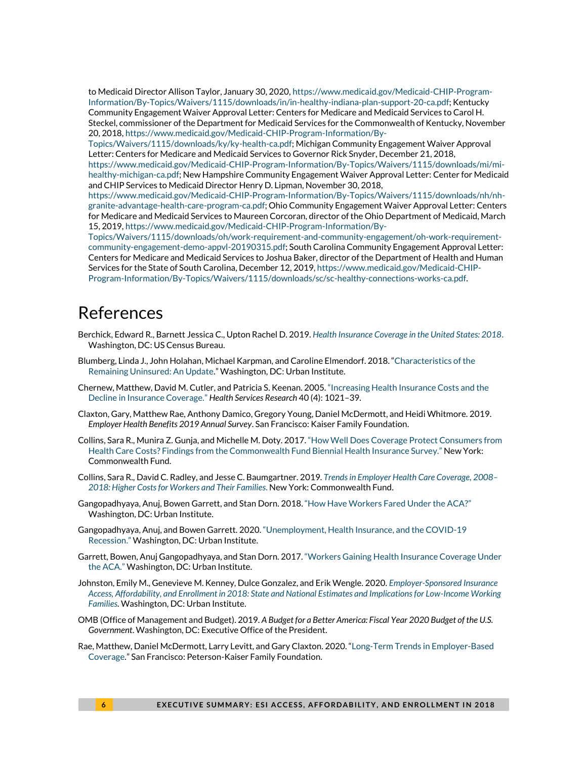to Medicaid Director Allison Taylor, January 30, 2020[, https://www.medicaid.gov/Medicaid-CHIP-Program-](about:blank)[Information/By-Topics/Waivers/1115/downloads/in/in-healthy-indiana-plan-support-20-ca.pdf;](about:blank) Kentucky Community Engagement Waiver Approval Letter: Centers for Medicare and Medicaid Services to Carol H. Steckel, commissioner of the Department for Medicaid Services for the Commonwealth of Kentucky, November 20, 2018[, https://www.medicaid.gov/Medicaid-CHIP-Program-Information/By-](about:blank)

[Topics/Waivers/1115/downloads/ky/ky-health-ca.pdf;](about:blank) Michigan Community Engagement Waiver Approval Letter: Centers for Medicare and Medicaid Services to Governor Rick Snyder, December 21, 2018,

[https://www.medicaid.gov/Medicaid-CHIP-Program-Information/By-Topics/Waivers/1115/downloads/mi/mi](about:blank)[healthy-michigan-ca.pdf;](about:blank) New Hampshire Community Engagement Waiver Approval Letter: Center for Medicaid and CHIP Services to Medicaid Director Henry D. Lipman, November 30, 2018,

[https://www.medicaid.gov/Medicaid-CHIP-Program-Information/By-Topics/Waivers/1115/downloads/nh/nh](about:blank)[granite-advantage-health-care-program-ca.pdf;](about:blank) Ohio Community Engagement Waiver Approval Letter: Centers for Medicare and Medicaid Services to Maureen Corcoran, director of the Ohio Department of Medicaid, March 15, 2019[, https://www.medicaid.gov/Medicaid-CHIP-Program-Information/By-](about:blank)

[Topics/Waivers/1115/downloads/oh/work-requirement-and-community-engagement/oh-work-requirement](about:blank)[community-engagement-demo-appvl-20190315.pdf;](about:blank) South Carolina Community Engagement Approval Letter: Centers for Medicare and Medicaid Services to Joshua Baker, director of the Department of Health and Human Services for the State of South Carolina, December 12, 2019[, https://www.medicaid.gov/Medicaid-CHIP-](about:blank)[Program-Information/By-Topics/Waivers/1115/downloads/sc/sc-healthy-connections-works-ca.pdf.](about:blank) 

# References

- Berchick, Edward R., Barnett Jessica C., Upton Rachel D. 2019. *[Health Insurance Coverage in the United States: 2018](https://www.census.gov/library/publications/2019/demo/p60-267.html)*. Washington, DC: US Census Bureau.
- Blumberg, Linda J., John Holahan, Michael Karpman, and Caroline Elmendorf. 2018. "[Characteristics of the](https://www.urban.org/research/publication/characteristics-remaining-uninsured-update)  [Remaining Uninsured: An Update.](https://www.urban.org/research/publication/characteristics-remaining-uninsured-update)" Washington, DC: Urban Institute.
- Chernew, Matthew, David M. Cutler, and Patricia S. Keenan. 2005. "[Increasing Health Insurance Costs and the](https://doi.org/10.1111/j.1475-6773.2005.00409.x)  [Decline in Insurance Coverage.](https://doi.org/10.1111/j.1475-6773.2005.00409.x)" *Health Services Research* 40 (4): 1021–39.
- Claxton, Gary, Matthew Rae, Anthony Damico, Gregory Young, Daniel McDermott, and Heidi Whitmore. 2019. *Employer Health Benefits 2019 Annual Survey*. San Francisco: Kaiser Family Foundation.
- Collins, Sara R., Munira Z. Gunja, and Michelle M. Doty. 2017. "[How Well Does Coverage Protect Consumers from](https://www.commonwealthfund.org/publications/issue-briefs/2017/oct/how-well-does-insurance-coverage-protect-consumers-health-care)  [Health Care Costs? Findings from the Commonwealth Fund Biennial Health Insurance Survey.](https://www.commonwealthfund.org/publications/issue-briefs/2017/oct/how-well-does-insurance-coverage-protect-consumers-health-care)" New York: Commonwealth Fund.
- Collins, Sara R., David C. Radley, and Jesse C. Baumgartner. 2019. *[Trends in Employer Health Care Coverage, 2008](https://doi.org/10.26099/btqx-ed95)– [2018: Higher Costs for Workers and Their Families](https://doi.org/10.26099/btqx-ed95)*. New York: Commonwealth Fund.
- Gangopadhyaya, Anuj, Bowen Garrett, and Stan Dorn. 2018. "[How Have Workers Fared Under the ACA?](https://www.urban.org/research/publication/how-have-workers-fared-under-aca)" Washington, DC: Urban Institute.
- Gangopadhyaya, Anuj, and Bowen Garrett. 2020. "[Unemployment, Health Insurance, and the COVID-19](https://www.urban.org/research/publication/unemployment-health-insurance-and-covid-19-recession)  [Recession.](https://www.urban.org/research/publication/unemployment-health-insurance-and-covid-19-recession)" Washington, DC: Urban Institute.
- Garrett, Bowen, Anuj Gangopadhyaya, and Stan Dorn. 2017. "[Workers Gaining Health Insurance Coverage Under](https://www.urban.org/research/publication/workers-gaining-health-insurance-coverage-under-aca)  [the ACA.](https://www.urban.org/research/publication/workers-gaining-health-insurance-coverage-under-aca)" Washington, DC: Urban Institute.
- Johnston, Emily M., Genevieve M. Kenney, Dulce Gonzalez, and Erik Wengle. 2020. *[Employer-Sponsored Insurance](https://www.urban.org/research/publication/employer-sponsored-insurance-access-affordability-and-enrollment-2018) [Access, Affordability, and Enrollment in 2018: State and National Estimates and Implications for Low-Income Working](https://www.urban.org/research/publication/employer-sponsored-insurance-access-affordability-and-enrollment-2018)  [Families.](https://www.urban.org/research/publication/employer-sponsored-insurance-access-affordability-and-enrollment-2018)* Washington, DC: Urban Institute.
- OMB (Office of Management and Budget). 2019. *A Budget for a Better America: Fiscal Year 2020 Budget of the U.S. Government*. Washington, DC: Executive Office of the President.
- Rae, Matthew, Daniel McDermott, Larry Levitt, and Gary Claxton. 2020. "[Long-Term Trends in Employer-Based](https://www.kff.org/health-costs/issue-brief/long-term-trends-in-employer-based-coverage/)  [Coverage](https://www.kff.org/health-costs/issue-brief/long-term-trends-in-employer-based-coverage/)." San Francisco: Peterson-Kaiser Family Foundation.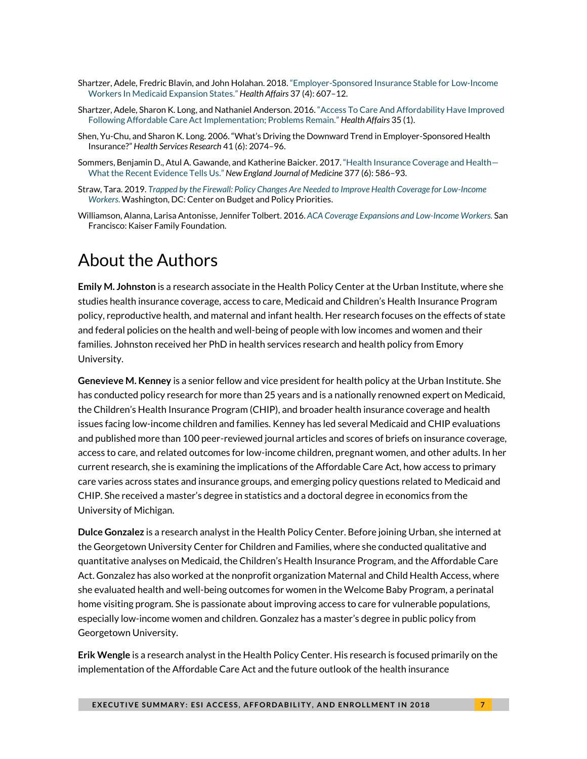- Shartzer, Adele, Fredric Blavin, and John Holahan. 2018. "[Employer-Sponsored Insurance Stable for](https://www.healthaffairs.org/doi/10.1377/hlthaff.2017.1205) Low-Income [Workers In Medicaid Expansion States.](https://www.healthaffairs.org/doi/10.1377/hlthaff.2017.1205)" *Health Affairs* 37 (4): 607–12.
- Shartzer, Adele, Sharon K. Long, and Nathaniel Anderson. 2016. "[Access To Care And Affordability Have Improved](about:blank)  [Following Affordable Care Act Implementation; Problems Remain.](about:blank)" *Health Affairs* 35 (1).
- Shen, Yu-Chu, and Sharon K. Long. 2006. "What's Driving the Downward Trend in Employer-Sponsored Health Insurance?" *Health Services Research* 41 (6): 2074–96.
- Sommers, Benjamin D., Atul A. Gawande, and Katherine Baicker. 2017. "[Health Insurance Coverage and Health](https://www.nejm.org/doi/10.1056/NEJMsb1706645) [What the Recent Evidence Tells Us.](https://www.nejm.org/doi/10.1056/NEJMsb1706645)" *New England Journal of Medicine* 377 (6): 586–93.
- Straw, Tara. 2019. *[Trapped by the Firewall: Policy Changes Are Needed to Improve Health Coverage for Low-Income](about:blank)  [Workers](about:blank)*. Washington, DC: Center on Budget and Policy Priorities.
- Williamson, Alanna, Larisa Antonisse, Jennifer Tolbert. 2016. *[ACA Coverage Expansions and Low-Income Workers.](https://www.kff.org/medicaid/issue-brief/aca-coverage-expansions-and-low-income-workers/)* San Francisco: Kaiser Family Foundation.

# About the Authors

**Emily M. Johnston** is a research associate in the Health Policy Center at the Urban Institute, where she studies health insurance coverage, access to care, Medicaid and Children's Health Insurance Program policy, reproductive health, and maternal and infant health. Her research focuses on the effects of state and federal policies on the health and well-being of people with low incomes and women and their families. Johnston received her PhD in health services research and health policy from Emory University.

**Genevieve M. Kenney** is a senior fellow and vice president for health policy at the Urban Institute. She has conducted policy research for more than 25 years and is a nationally renowned expert on Medicaid, the Children's Health Insurance Program (CHIP), and broader health insurance coverage and health issues facing low-income children and families. Kenney has led several Medicaid and CHIP evaluations and published more than 100 peer-reviewed journal articles and scores of briefs on insurance coverage, access to care, and related outcomes for low-income children, pregnant women, and other adults. In her current research, she is examining the implications of the Affordable Care Act, how access to primary care varies across states and insurance groups, and emerging policy questions related to Medicaid and CHIP. She received a master's degree in statistics and a doctoral degree in economics from the University of Michigan.

**Dulce Gonzalez** is a research analyst in the Health Policy Center. Before joining Urban, she interned at the Georgetown University Center for Children and Families, where she conducted qualitative and quantitative analyses on Medicaid, the Children's Health Insurance Program, and the Affordable Care Act. Gonzalez has also worked at the nonprofit organization Maternal and Child Health Access, where she evaluated health and well-being outcomes for women in the Welcome Baby Program, a perinatal home visiting program. She is passionate about improving access to care for vulnerable populations, especially low-income women and children. Gonzalez has a master's degree in public policy from Georgetown University.

**Erik Wengle** is a research analyst in the Health Policy Center. His research is focused primarily on the implementation of the Affordable Care Act and the future outlook of the health insurance